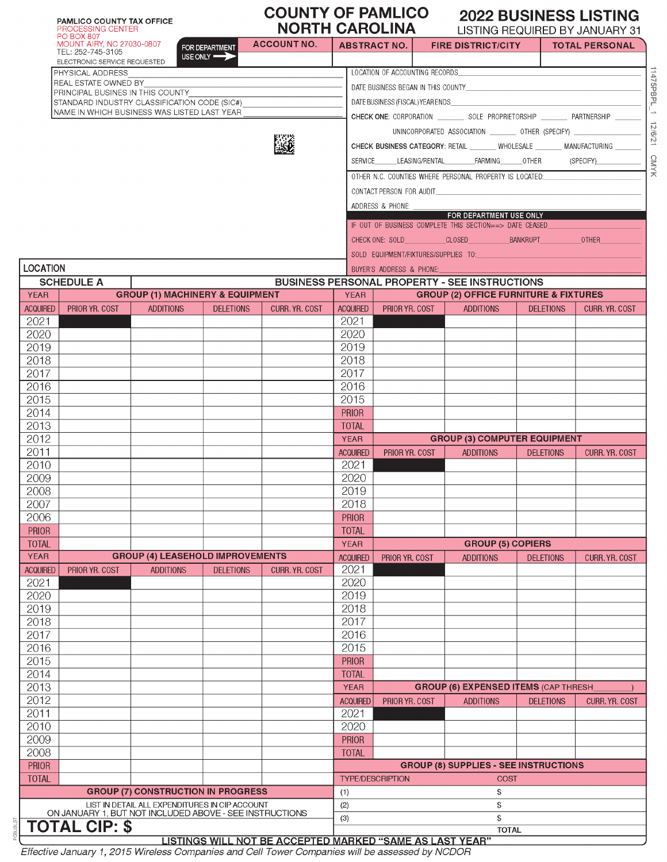|                 | <b>PAMLICO COUNTY TAX OFFICE</b><br>PROCESSING CENTER                      |                                                |                  | <b>COUNTY OF PAMLICO</b><br><b>NORTH CAROLINA</b> |                     |                                  |                                                                                                               |                  | <b>2022 BUSINESS LISTING</b><br>LISTING REQUIRED BY JANUARY 31 |
|-----------------|----------------------------------------------------------------------------|------------------------------------------------|------------------|---------------------------------------------------|---------------------|----------------------------------|---------------------------------------------------------------------------------------------------------------|------------------|----------------------------------------------------------------|
|                 | <b>PO BOX 807</b><br><b>MOUNT AIRY, NC 27030-0807</b><br>TEL: 252-745-3105 |                                                | FOR DEPARTMENT   | <b>ACCOUNT NO.</b>                                | <b>ABSTRACT NO.</b> |                                  | <b>FIRE DISTRICT/CITY</b>                                                                                     |                  | <b>TOTAL PERSONAL</b>                                          |
|                 | ELECTRONIC SERVICE REQUESTED                                               |                                                | USE ONLY         |                                                   |                     |                                  |                                                                                                               |                  |                                                                |
|                 | PHYSICAL ADDRESS<br>REAL ESTATE OWNED BY                                   |                                                |                  |                                                   |                     | LOCATION OF ACCOUNTING RECORDS   |                                                                                                               |                  |                                                                |
|                 | PRINCIPAL BUSINES IN THIS COUNTY                                           |                                                |                  |                                                   |                     |                                  |                                                                                                               |                  |                                                                |
|                 | STANDARD INDUSTRY CLASSIFICATION CODE (SIC#)                               |                                                |                  |                                                   |                     | DATE BUSINESS (FISCAL) YEAR ENDS |                                                                                                               |                  |                                                                |
|                 | NAME IN WHICH BUSINESS WAS LISTED LAST YEAR                                |                                                |                  |                                                   |                     |                                  |                                                                                                               |                  |                                                                |
|                 |                                                                            |                                                |                  |                                                   |                     |                                  | UNINCORPORATED ASSOCIATION __________ OTHER (SPECIFY) __________________________                              |                  |                                                                |
|                 |                                                                            |                                                |                  |                                                   |                     |                                  | CHECK BUSINESS CATEGORY: RETAIL _______ WHOLESALE _______ MANUFACTURING _                                     |                  |                                                                |
|                 |                                                                            |                                                |                  |                                                   |                     |                                  | SERVICE LEASING/RENTAL FARMING OTHER (SPECIFY)                                                                |                  |                                                                |
|                 |                                                                            |                                                |                  |                                                   |                     |                                  | OTHER N.C. COUNTIES WHERE PERSONAL PROPERTY IS LOCATED:                                                       |                  |                                                                |
|                 |                                                                            |                                                |                  |                                                   |                     | CONTACT PERSON FOR AUDIT         |                                                                                                               |                  |                                                                |
|                 |                                                                            |                                                |                  |                                                   |                     | ADDRESS & PHONE: ___             |                                                                                                               |                  |                                                                |
|                 |                                                                            |                                                |                  |                                                   |                     |                                  | FOR DEPARTMENT USE ONLY                                                                                       |                  |                                                                |
|                 |                                                                            |                                                |                  |                                                   |                     |                                  | IF OUT OF BUSINESS COMPLETE THIS SECTION==> DATE CEASED                                                       |                  |                                                                |
|                 |                                                                            |                                                |                  |                                                   |                     |                                  |                                                                                                               |                  | <b>OTHER</b>                                                   |
|                 |                                                                            |                                                |                  |                                                   |                     |                                  | SOLD EQUIPMENT/FIXTURES/SUPPLIES TO: And the state of the state of the state of the state of the state of the |                  |                                                                |
| LOCATION        |                                                                            |                                                |                  |                                                   |                     | BUYER'S ADDRESS & PHONE:         |                                                                                                               |                  |                                                                |
|                 | <b>SCHEDULE A</b>                                                          |                                                |                  |                                                   |                     |                                  | <b>BUSINESS PERSONAL PROPERTY - SEE INSTRUCTIONS</b>                                                          |                  |                                                                |
| <b>YEAR</b>     |                                                                            | <b>GROUP (1) MACHINERY &amp; EQUIPMENT</b>     |                  |                                                   | <b>YEAR</b>         |                                  | <b>GROUP (2) OFFICE FURNITURE &amp; FIXTURES</b>                                                              |                  |                                                                |
| <b>ACQUIRED</b> | PRIOR YR. COST                                                             | <b>ADDITIONS</b>                               | <b>DELETIONS</b> | <b>CURR. YR. COST</b>                             | <b>ACQUIRED</b>     | PRIOR YR. COST                   | <b>ADDITIONS</b>                                                                                              | <b>DELETIONS</b> | CURR. YR. COST                                                 |
| 2021            |                                                                            |                                                |                  |                                                   | 2021                |                                  |                                                                                                               |                  |                                                                |
| 2020            |                                                                            |                                                |                  |                                                   | 2020                |                                  |                                                                                                               |                  |                                                                |
| 2019            |                                                                            |                                                |                  |                                                   | 2019<br>2018        |                                  |                                                                                                               |                  |                                                                |
| 2018<br>2017    |                                                                            |                                                |                  |                                                   | 2017                |                                  |                                                                                                               |                  |                                                                |
| 2016            |                                                                            |                                                |                  |                                                   | 2016                |                                  |                                                                                                               |                  |                                                                |
| 2015            |                                                                            |                                                |                  |                                                   | 2015                |                                  |                                                                                                               |                  |                                                                |
| 2014            |                                                                            |                                                |                  |                                                   | <b>PRIOR</b>        |                                  |                                                                                                               |                  |                                                                |
| 2013            |                                                                            |                                                |                  |                                                   | <b>TOTAL</b>        |                                  |                                                                                                               |                  |                                                                |
| 2012            |                                                                            |                                                |                  |                                                   | <b>YEAR</b>         |                                  | <b>GROUP (3) COMPUTER EQUIPMENT</b>                                                                           |                  |                                                                |
| 2011            |                                                                            |                                                |                  |                                                   | <b>ACQUIRED</b>     | PRIOR YR. COST                   | <b>ADDITIONS</b>                                                                                              | <b>DELETIONS</b> | CURR. YR. COST                                                 |
| 2010            |                                                                            |                                                |                  |                                                   | 2021                |                                  |                                                                                                               |                  |                                                                |
| 2009            |                                                                            |                                                |                  |                                                   | 2020                |                                  |                                                                                                               |                  |                                                                |
| 2008            |                                                                            |                                                |                  |                                                   | 2019                |                                  |                                                                                                               |                  |                                                                |
| 2007            |                                                                            |                                                |                  |                                                   | 2018                |                                  |                                                                                                               |                  |                                                                |
| 2006            |                                                                            |                                                |                  |                                                   | <b>PRIOR</b>        |                                  |                                                                                                               |                  |                                                                |
| PRIOR           |                                                                            |                                                |                  |                                                   | <b>TOTAL</b>        |                                  |                                                                                                               |                  |                                                                |
| <b>TOTAL</b>    |                                                                            |                                                |                  |                                                   | <b>YEAR</b>         |                                  | <b>GROUP (5) COPIERS</b>                                                                                      |                  |                                                                |
| <b>YEAR</b>     |                                                                            | <b>GROUP (4) LEASEHOLD IMPROVEMENTS</b>        |                  |                                                   | <b>ACQUIRED</b>     | PRIOR YR. COST                   | <b>ADDITIONS</b>                                                                                              | <b>DELETIONS</b> | CURR. YR. COST                                                 |
| <b>ACQUIRED</b> | PRIOR YR. COST                                                             | <b>ADDITIONS</b>                               | <b>DELETIONS</b> | CURR. YR. COST                                    | 2021                |                                  |                                                                                                               |                  |                                                                |
| 2021<br>2020    |                                                                            |                                                |                  |                                                   | 2020<br>2019        |                                  |                                                                                                               |                  |                                                                |
| 2019            |                                                                            |                                                |                  |                                                   | 2018                |                                  |                                                                                                               |                  |                                                                |
| 2018            |                                                                            |                                                |                  |                                                   | 2017                |                                  |                                                                                                               |                  |                                                                |
| 2017            |                                                                            |                                                |                  |                                                   | 2016                |                                  |                                                                                                               |                  |                                                                |
| 2016            |                                                                            |                                                |                  |                                                   | 2015                |                                  |                                                                                                               |                  |                                                                |
| 2015            |                                                                            |                                                |                  |                                                   | <b>PRIOR</b>        |                                  |                                                                                                               |                  |                                                                |
| 2014            |                                                                            |                                                |                  |                                                   | <b>TOTAL</b>        |                                  |                                                                                                               |                  |                                                                |
| 2013            |                                                                            |                                                |                  |                                                   | <b>YEAR</b>         |                                  | <b>GROUP (6) EXPENSED ITEMS (CAP THRESH)</b>                                                                  |                  |                                                                |
| 2012            |                                                                            |                                                |                  |                                                   | <b>ACQUIRED</b>     | PRIOR YR. COST                   | <b>ADDITIONS</b>                                                                                              | <b>DELETIONS</b> | CURR. YR. COST                                                 |
| 2011            |                                                                            |                                                |                  |                                                   | 2021                |                                  |                                                                                                               |                  |                                                                |
| 2010            |                                                                            |                                                |                  |                                                   | 2020                |                                  |                                                                                                               |                  |                                                                |
| 2009            |                                                                            |                                                |                  |                                                   | <b>PRIOR</b>        |                                  |                                                                                                               |                  |                                                                |
| 2008            |                                                                            |                                                |                  |                                                   | <b>TOTAL</b>        |                                  |                                                                                                               |                  |                                                                |
| PRIOR           |                                                                            |                                                |                  |                                                   |                     |                                  | <b>GROUP (8) SUPPLIES - SEE INSTRUCTIONS</b>                                                                  |                  |                                                                |
| <b>TOTAL</b>    |                                                                            |                                                |                  |                                                   |                     | <b>TYPE/DESCRIPTION</b>          | COST                                                                                                          |                  |                                                                |
|                 |                                                                            | <b>GROUP (7) CONSTRUCTION IN PROGRESS</b>      |                  |                                                   | (1)                 |                                  | \$                                                                                                            |                  |                                                                |
|                 | ON JANUARY 1, BUT NOT INCLUDED ABOVE - SEE INSTRUCTIONS                    | LIST IN DETAIL ALL EXPENDITURES IN CIP ACCOUNT |                  |                                                   | (2)                 |                                  | \$<br>\$                                                                                                      |                  |                                                                |
|                 | <b>TOTAL CIP: \$</b>                                                       |                                                |                  |                                                   | (3)                 |                                  | <b>TOTAL</b>                                                                                                  |                  |                                                                |
|                 |                                                                            |                                                |                  |                                                   |                     |                                  |                                                                                                               |                  |                                                                |

 $\mathbf{r}$ 

LISTINGS WILL NOT BE ACCEPTED MARKED "SAME AS LAST YEAR"<br>Effective January 1, 2015 Wireless Companies and Cell Tower Companies will be assessed by NCDOR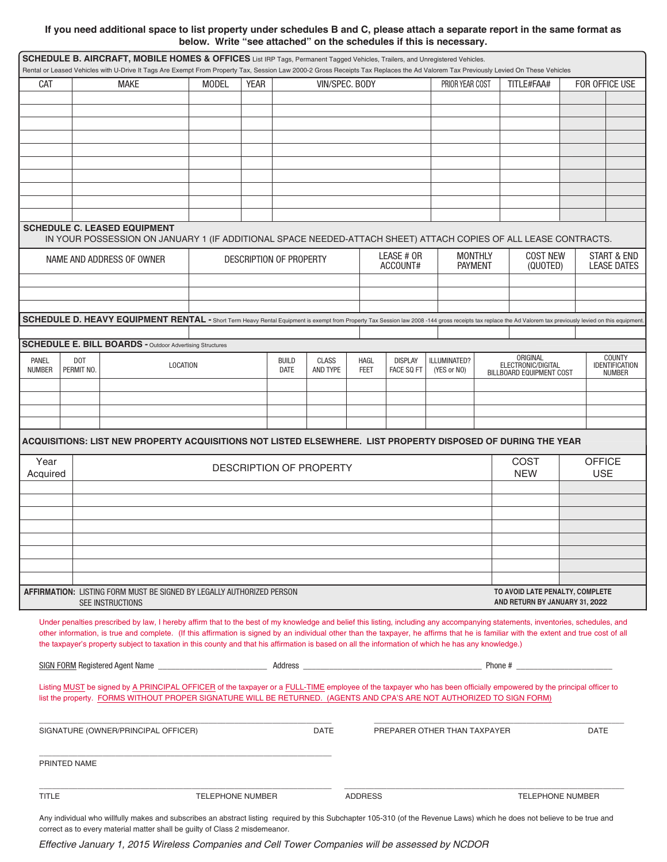## **If you need additional space to list property under schedules B and C, please attach a separate report in the same format as below. Write "see attached" on the schedules if this is necessary.**

|               |              |                                     |                                                                 | SCHEDULE B. AIRCRAFT, MOBILE HOMES & OFFICES List IRP Tags, Permanent Tagged Vehicles, Trailers, and Unregistered Vehicles.                         |             |                         |                         |                |                |                              |                | Rental or Leased Vehicles with U-Drive It Tags Are Exempt From Property Tax, Session Law 2000-2 Gross Receipts Tax Replaces the Ad Valorem Tax Previously Levied On These Vehicles                                                                                                                                                                                       |                                        |
|---------------|--------------|-------------------------------------|-----------------------------------------------------------------|-----------------------------------------------------------------------------------------------------------------------------------------------------|-------------|-------------------------|-------------------------|----------------|----------------|------------------------------|----------------|--------------------------------------------------------------------------------------------------------------------------------------------------------------------------------------------------------------------------------------------------------------------------------------------------------------------------------------------------------------------------|----------------------------------------|
| CAT           |              | <b>MAKE</b>                         |                                                                 | MODEL                                                                                                                                               | <b>YEAR</b> |                         | VIN/SPEC. BODY          |                |                | PRIOR YEAR COST              |                | TITLE#FAA#                                                                                                                                                                                                                                                                                                                                                               | FOR OFFICE USE                         |
|               |              |                                     |                                                                 |                                                                                                                                                     |             |                         |                         |                |                |                              |                |                                                                                                                                                                                                                                                                                                                                                                          |                                        |
|               |              |                                     |                                                                 |                                                                                                                                                     |             |                         |                         |                |                |                              |                |                                                                                                                                                                                                                                                                                                                                                                          |                                        |
|               |              |                                     |                                                                 |                                                                                                                                                     |             |                         |                         |                |                |                              |                |                                                                                                                                                                                                                                                                                                                                                                          |                                        |
|               |              |                                     |                                                                 |                                                                                                                                                     |             |                         |                         |                |                |                              |                |                                                                                                                                                                                                                                                                                                                                                                          |                                        |
|               |              |                                     |                                                                 |                                                                                                                                                     |             |                         |                         |                |                |                              |                |                                                                                                                                                                                                                                                                                                                                                                          |                                        |
|               |              |                                     |                                                                 |                                                                                                                                                     |             |                         |                         |                |                |                              |                |                                                                                                                                                                                                                                                                                                                                                                          |                                        |
|               |              |                                     |                                                                 |                                                                                                                                                     |             |                         |                         |                |                |                              |                |                                                                                                                                                                                                                                                                                                                                                                          |                                        |
|               |              |                                     |                                                                 |                                                                                                                                                     |             |                         |                         |                |                |                              |                |                                                                                                                                                                                                                                                                                                                                                                          |                                        |
|               |              |                                     |                                                                 |                                                                                                                                                     |             |                         |                         |                |                |                              |                |                                                                                                                                                                                                                                                                                                                                                                          |                                        |
|               |              | <b>SCHEDULE C. LEASED EQUIPMENT</b> |                                                                 |                                                                                                                                                     |             |                         |                         |                |                |                              |                |                                                                                                                                                                                                                                                                                                                                                                          |                                        |
|               |              | NAME AND ADDRESS OF OWNER           |                                                                 |                                                                                                                                                     |             | DESCRIPTION OF PROPERTY |                         |                | LEASE # OR     |                              | <b>MONTHLY</b> | IN YOUR POSSESSION ON JANUARY 1 (IF ADDITIONAL SPACE NEEDED-ATTACH SHEET) ATTACH COPIES OF ALL LEASE CONTRACTS.<br><b>COST NEW</b>                                                                                                                                                                                                                                       | <b>START &amp; END</b>                 |
|               |              |                                     |                                                                 |                                                                                                                                                     |             |                         |                         |                | ACCOUNT#       |                              | <b>PAYMENT</b> | (QUOTED)                                                                                                                                                                                                                                                                                                                                                                 | <b>LEASE DATES</b>                     |
|               |              |                                     |                                                                 |                                                                                                                                                     |             |                         |                         |                |                |                              |                |                                                                                                                                                                                                                                                                                                                                                                          |                                        |
|               |              |                                     |                                                                 |                                                                                                                                                     |             |                         |                         |                |                |                              |                |                                                                                                                                                                                                                                                                                                                                                                          |                                        |
|               |              |                                     |                                                                 |                                                                                                                                                     |             |                         |                         |                |                |                              |                |                                                                                                                                                                                                                                                                                                                                                                          |                                        |
|               |              |                                     |                                                                 |                                                                                                                                                     |             |                         |                         |                |                |                              |                | SCHEDULE D. HEAVY EQUIPMENT RENTAL - Short Term Heavy Rental Equipment is exempt from Property Tax Session law 2008 -144 gross receipts tax replace the Ad Valorem tax previously levied on this equipment                                                                                                                                                               |                                        |
|               |              |                                     | <b>SCHEDULE E. BILL BOARDS - Outdoor Advertising Structures</b> |                                                                                                                                                     |             |                         |                         |                |                |                              |                |                                                                                                                                                                                                                                                                                                                                                                          |                                        |
| PANEL         | DOT          |                                     |                                                                 |                                                                                                                                                     |             | <b>BUILD</b>            | CLASS                   | <b>HAGL</b>    | <b>DISPLAY</b> | ILLUMINATED?                 |                | ORIGINAL                                                                                                                                                                                                                                                                                                                                                                 | <b>COUNTY</b>                          |
| <b>NUMBER</b> | PERMIT NO.   |                                     | LOCATION                                                        |                                                                                                                                                     |             | <b>DATE</b>             | AND TYPE                | <b>FEET</b>    | FACE SQ FT     | (YES or NO)                  |                | ELECTRONIC/DIGITAL<br>BILLBOARD EQUIPMENT COST                                                                                                                                                                                                                                                                                                                           | <b>IDENTIFICATION</b><br><b>NUMBER</b> |
|               |              |                                     |                                                                 |                                                                                                                                                     |             |                         |                         |                |                |                              |                |                                                                                                                                                                                                                                                                                                                                                                          |                                        |
|               |              |                                     |                                                                 |                                                                                                                                                     |             |                         |                         |                |                |                              |                |                                                                                                                                                                                                                                                                                                                                                                          |                                        |
|               |              |                                     |                                                                 |                                                                                                                                                     |             |                         |                         |                |                |                              |                |                                                                                                                                                                                                                                                                                                                                                                          |                                        |
|               |              |                                     |                                                                 |                                                                                                                                                     |             |                         |                         |                |                |                              |                |                                                                                                                                                                                                                                                                                                                                                                          |                                        |
|               |              |                                     |                                                                 |                                                                                                                                                     |             |                         |                         |                |                |                              |                | ACQUISITIONS: LIST NEW PROPERTY ACQUISITIONS NOT LISTED ELSEWHERE.  LIST PROPERTY DISPOSED OF DURING THE YEAR                                                                                                                                                                                                                                                            |                                        |
| Year          |              |                                     |                                                                 |                                                                                                                                                     |             |                         | DESCRIPTION OF PROPERTY |                |                |                              |                | <b>COST</b>                                                                                                                                                                                                                                                                                                                                                              | <b>OFFICE</b>                          |
| Acquired      |              |                                     |                                                                 |                                                                                                                                                     |             |                         |                         |                |                |                              |                | <b>NEW</b>                                                                                                                                                                                                                                                                                                                                                               | <b>USE</b>                             |
|               |              |                                     |                                                                 |                                                                                                                                                     |             |                         |                         |                |                |                              |                |                                                                                                                                                                                                                                                                                                                                                                          |                                        |
|               |              |                                     |                                                                 |                                                                                                                                                     |             |                         |                         |                |                |                              |                |                                                                                                                                                                                                                                                                                                                                                                          |                                        |
|               |              |                                     |                                                                 |                                                                                                                                                     |             |                         |                         |                |                |                              |                |                                                                                                                                                                                                                                                                                                                                                                          |                                        |
|               |              |                                     |                                                                 |                                                                                                                                                     |             |                         |                         |                |                |                              |                |                                                                                                                                                                                                                                                                                                                                                                          |                                        |
|               |              |                                     |                                                                 |                                                                                                                                                     |             |                         |                         |                |                |                              |                |                                                                                                                                                                                                                                                                                                                                                                          |                                        |
|               |              |                                     |                                                                 |                                                                                                                                                     |             |                         |                         |                |                |                              |                |                                                                                                                                                                                                                                                                                                                                                                          |                                        |
|               |              |                                     |                                                                 |                                                                                                                                                     |             |                         |                         |                |                |                              |                |                                                                                                                                                                                                                                                                                                                                                                          |                                        |
|               |              | SEE INSTRUCTIONS                    |                                                                 | <b>AFFIRMATION: LISTING FORM MUST BE SIGNED BY LEGALLY AUTHORIZED PERSON</b>                                                                        |             |                         |                         |                |                |                              |                | TO AVOID LATE PENALTY, COMPLETE<br>AND RETURN BY JANUARY 31, 2022                                                                                                                                                                                                                                                                                                        |                                        |
|               |              |                                     |                                                                 |                                                                                                                                                     |             |                         |                         |                |                |                              |                |                                                                                                                                                                                                                                                                                                                                                                          |                                        |
|               |              |                                     |                                                                 |                                                                                                                                                     |             |                         |                         |                |                |                              |                | Under penalties prescribed by law, I hereby affirm that to the best of my knowledge and belief this listing, including any accompanying statements, inventories, schedules, and<br>other information, is true and complete. (If this affirmation is signed by an individual other than the taxpayer, he affirms that he is familiar with the extent and true cost of all |                                        |
|               |              |                                     |                                                                 | the taxpayer's property subject to taxation in this county and that his affirmation is based on all the information of which he has any knowledge.) |             |                         |                         |                |                |                              |                |                                                                                                                                                                                                                                                                                                                                                                          |                                        |
|               |              |                                     |                                                                 |                                                                                                                                                     |             |                         |                         |                |                |                              |                |                                                                                                                                                                                                                                                                                                                                                                          |                                        |
|               |              |                                     |                                                                 |                                                                                                                                                     |             |                         |                         |                |                |                              |                |                                                                                                                                                                                                                                                                                                                                                                          |                                        |
|               |              |                                     |                                                                 |                                                                                                                                                     |             |                         |                         |                |                |                              |                | Listing MUST be signed by A PRINCIPAL OFFICER of the taxpayer or a FULL-TIME employee of the taxpayer who has been officially empowered by the principal officer to                                                                                                                                                                                                      |                                        |
|               |              |                                     |                                                                 | list the property. FORMS WITHOUT PROPER SIGNATURE WILL BE RETURNED. (AGENTS AND CPA'S ARE NOT AUTHORIZED TO SIGN FORM)                              |             |                         |                         |                |                |                              |                |                                                                                                                                                                                                                                                                                                                                                                          |                                        |
|               |              |                                     |                                                                 |                                                                                                                                                     |             |                         |                         |                |                |                              |                |                                                                                                                                                                                                                                                                                                                                                                          |                                        |
|               |              |                                     | SIGNATURE (OWNER/PRINCIPAL OFFICER)                             |                                                                                                                                                     |             |                         | <b>DATE</b>             |                |                | PREPARER OTHER THAN TAXPAYER |                |                                                                                                                                                                                                                                                                                                                                                                          | <b>DATE</b>                            |
|               |              |                                     |                                                                 |                                                                                                                                                     |             |                         |                         |                |                |                              |                |                                                                                                                                                                                                                                                                                                                                                                          |                                        |
|               | PRINTED NAME |                                     |                                                                 |                                                                                                                                                     |             |                         |                         |                |                |                              |                |                                                                                                                                                                                                                                                                                                                                                                          |                                        |
|               |              |                                     |                                                                 |                                                                                                                                                     |             |                         |                         |                |                |                              |                |                                                                                                                                                                                                                                                                                                                                                                          |                                        |
| <b>TITLE</b>  |              |                                     |                                                                 | TELEPHONE NUMBER                                                                                                                                    |             |                         |                         | <b>ADDRESS</b> |                |                              |                | <b>TELEPHONE NUMBER</b>                                                                                                                                                                                                                                                                                                                                                  |                                        |
|               |              |                                     |                                                                 |                                                                                                                                                     |             |                         |                         |                |                |                              |                |                                                                                                                                                                                                                                                                                                                                                                          |                                        |

Any individual who willfully makes and subscribes an abstract listing required by this Subchapter 105-310 (of the Revenue Laws) which he does not believe to be true and correct as to every material matter shall be guilty of Class 2 misdemeanor.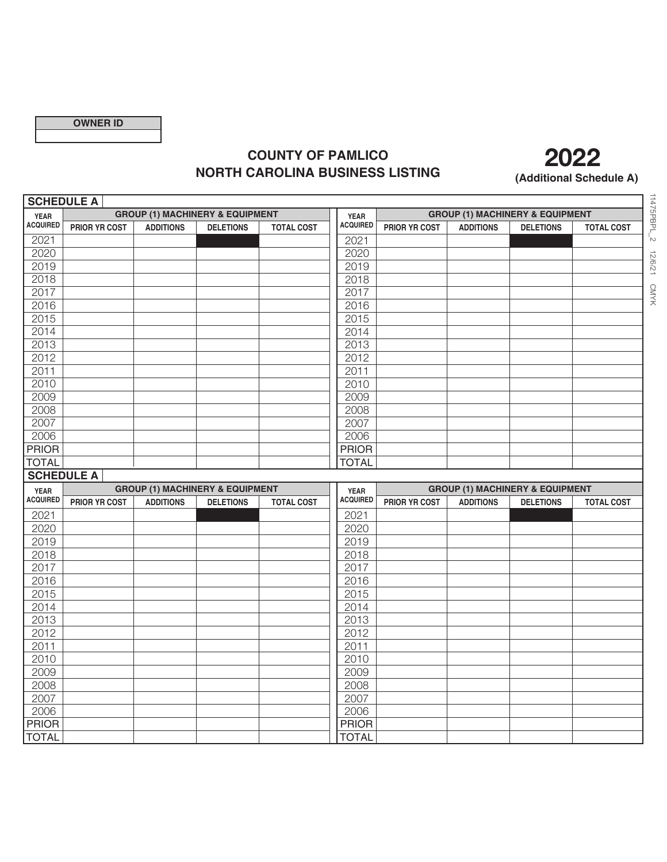## **COUNTY OF PAMLICO NORTH CAROLINA BUSINESS LISTING** (Additional Schedule A)



11475PBPL\_2 12/6/21 CMYK 11475PBPL\_2 12/6/21 CMYK

| <b>SCHEDULE A</b>              |                      |                  |                                            |                   |                                |                      |                  |                                            |                   |
|--------------------------------|----------------------|------------------|--------------------------------------------|-------------------|--------------------------------|----------------------|------------------|--------------------------------------------|-------------------|
| <b>YEAR</b>                    |                      |                  | <b>GROUP (1) MACHINERY &amp; EQUIPMENT</b> |                   | <b>YEAR</b>                    |                      |                  | <b>GROUP (1) MACHINERY &amp; EQUIPMENT</b> |                   |
| <b>ACQUIRED</b>                | <b>PRIOR YR COST</b> | <b>ADDITIONS</b> | <b>DELETIONS</b>                           | <b>TOTAL COST</b> | <b>ACQUIRED</b>                | <b>PRIOR YR COST</b> | <b>ADDITIONS</b> | <b>DELETIONS</b>                           | <b>TOTAL COST</b> |
| 2021                           |                      |                  |                                            |                   | 2021                           |                      |                  |                                            |                   |
| 2020                           |                      |                  |                                            |                   | 2020                           |                      |                  |                                            |                   |
| 2019                           |                      |                  |                                            |                   | 2019                           |                      |                  |                                            |                   |
| 2018                           |                      |                  |                                            |                   | 2018                           |                      |                  |                                            |                   |
| 2017                           |                      |                  |                                            |                   | 2017                           |                      |                  |                                            |                   |
| 2016                           |                      |                  |                                            |                   | 2016                           |                      |                  |                                            |                   |
| 2015                           |                      |                  |                                            |                   | 2015                           |                      |                  |                                            |                   |
| 2014                           |                      |                  |                                            |                   | 2014                           |                      |                  |                                            |                   |
| 2013                           |                      |                  |                                            |                   | 2013                           |                      |                  |                                            |                   |
| 2012                           |                      |                  |                                            |                   | 2012                           |                      |                  |                                            |                   |
| 2011                           |                      |                  |                                            |                   | 2011                           |                      |                  |                                            |                   |
| 2010                           |                      |                  |                                            |                   | 2010                           |                      |                  |                                            |                   |
| 2009                           |                      |                  |                                            |                   | 2009                           |                      |                  |                                            |                   |
| 2008                           |                      |                  |                                            |                   | 2008                           |                      |                  |                                            |                   |
| 2007                           |                      |                  |                                            |                   | 2007                           |                      |                  |                                            |                   |
| 2006                           |                      |                  |                                            |                   | 2006                           |                      |                  |                                            |                   |
| <b>PRIOR</b>                   |                      |                  |                                            |                   | <b>PRIOR</b>                   |                      |                  |                                            |                   |
| <b>TOTAL</b>                   |                      |                  |                                            |                   | <b>TOTAL</b>                   |                      |                  |                                            |                   |
|                                |                      |                  |                                            |                   |                                |                      |                  |                                            |                   |
|                                | <b>SCHEDULE A</b>    |                  |                                            |                   |                                |                      |                  |                                            |                   |
|                                |                      |                  | <b>GROUP (1) MACHINERY &amp; EQUIPMENT</b> |                   |                                |                      |                  | <b>GROUP (1) MACHINERY &amp; EQUIPMENT</b> |                   |
| <b>YEAR</b><br><b>ACQUIRED</b> | <b>PRIOR YR COST</b> | <b>ADDITIONS</b> | <b>DELETIONS</b>                           | <b>TOTAL COST</b> | <b>YEAR</b><br><b>ACQUIRED</b> | <b>PRIOR YR COST</b> | <b>ADDITIONS</b> | <b>DELETIONS</b>                           | <b>TOTAL COST</b> |
|                                |                      |                  |                                            |                   |                                |                      |                  |                                            |                   |
| 2021<br>2020                   |                      |                  |                                            |                   | 2021<br>2020                   |                      |                  |                                            |                   |
|                                |                      |                  |                                            |                   |                                |                      |                  |                                            |                   |
| 2019                           |                      |                  |                                            |                   | 2019                           |                      |                  |                                            |                   |
| 2018<br>2017                   |                      |                  |                                            |                   | 2018                           |                      |                  |                                            |                   |
| 2016                           |                      |                  |                                            |                   | 2017<br>2016                   |                      |                  |                                            |                   |
| 2015                           |                      |                  |                                            |                   | 2015                           |                      |                  |                                            |                   |
| 2014                           |                      |                  |                                            |                   | 2014                           |                      |                  |                                            |                   |
| 2013                           |                      |                  |                                            |                   | 2013                           |                      |                  |                                            |                   |
| 2012                           |                      |                  |                                            |                   | 2012                           |                      |                  |                                            |                   |
| 2011                           |                      |                  |                                            |                   | 2011                           |                      |                  |                                            |                   |
| 2010                           |                      |                  |                                            |                   | 2010                           |                      |                  |                                            |                   |
| 2009                           |                      |                  |                                            |                   | 2009                           |                      |                  |                                            |                   |
| 2008                           |                      |                  |                                            |                   | 2008                           |                      |                  |                                            |                   |
| 2007                           |                      |                  |                                            |                   | 2007                           |                      |                  |                                            |                   |
| 2006                           |                      |                  |                                            |                   | 2006                           |                      |                  |                                            |                   |
| <b>PRIOR</b>                   |                      |                  |                                            |                   | <b>PRIOR</b>                   |                      |                  |                                            |                   |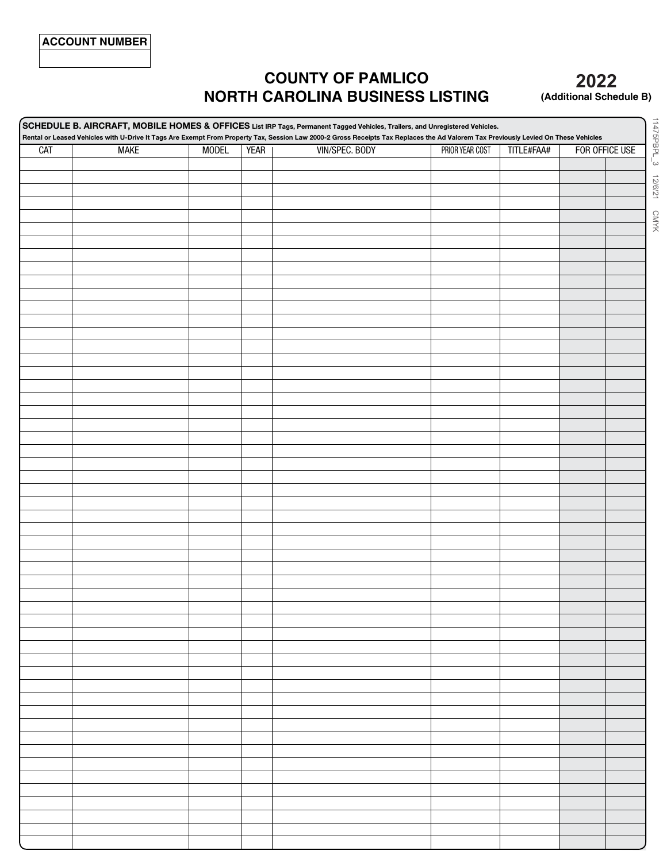## **COUNTY OF PAMLICO NORTH CAROLINA BUSINESS LISTING**

## **2020 2022(Additional Schedule B)**

**SCHEDULE B. AIRCRAFT, MOBILE HOMES & OFFICES List IRp Tags, permanent Tagged Vehicles, Trailers, and Unregistered Vehicles. Rental or Leased Vehicles with U-Drive It Tags Are Exempt From property Tax, Session Law 2000-2 Gross Receipts Tax Replaces the Ad Valorem Tax previously Levied On These Vehicles** CAT MAKE MODEL YEAR VIN/SPEC. BODY PRIOR YEAR COST TITLE#FAA# FOR OFFICE USE